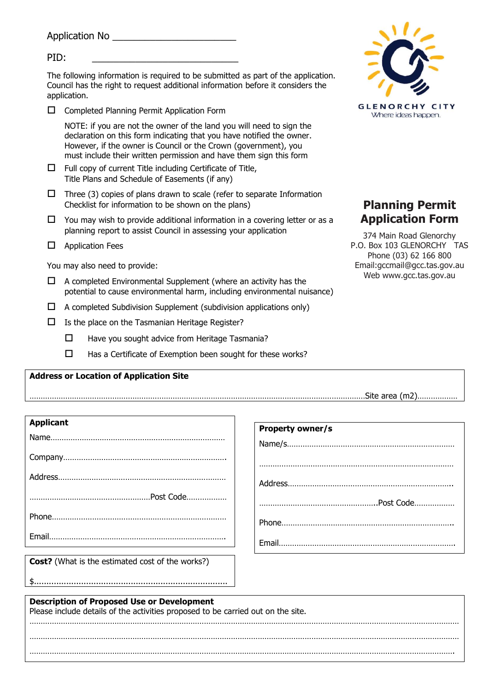Application No \_\_\_\_\_\_\_\_\_\_\_\_\_\_\_\_\_\_\_\_\_\_\_

| PID:                                           |                                                                                                                                                                                                                                                                                        |                                                            |
|------------------------------------------------|----------------------------------------------------------------------------------------------------------------------------------------------------------------------------------------------------------------------------------------------------------------------------------------|------------------------------------------------------------|
| application.                                   | The following information is required to be submitted as part of the application.<br>Council has the right to request additional information before it considers the                                                                                                                   |                                                            |
| П                                              | Completed Planning Permit Application Form                                                                                                                                                                                                                                             | <b>GLENORCHY</b><br>C<br><b>ITY</b><br>Where ideas happen. |
|                                                | NOTE: if you are not the owner of the land you will need to sign the<br>declaration on this form indicating that you have notified the owner.<br>However, if the owner is Council or the Crown (government), you<br>must include their written permission and have them sign this form |                                                            |
| ◻                                              | Full copy of current Title including Certificate of Title,<br>Title Plans and Schedule of Easements (if any)                                                                                                                                                                           |                                                            |
| □                                              | Three (3) copies of plans drawn to scale (refer to separate Information<br>Checklist for information to be shown on the plans)                                                                                                                                                         | <b>Planning Permit</b>                                     |
| □                                              | You may wish to provide additional information in a covering letter or as a<br>planning report to assist Council in assessing your application                                                                                                                                         | <b>Application Form</b><br>374 Main Road Glenorchy         |
| <b>Application Fees</b><br>ப                   |                                                                                                                                                                                                                                                                                        | P.O. Box 103 GLENORCHY TAS<br>Phone (03) 62 166 800        |
| You may also need to provide:                  |                                                                                                                                                                                                                                                                                        | Email: gccmail@gcc.tas.gov.au                              |
| ப                                              | A completed Environmental Supplement (where an activity has the<br>potential to cause environmental harm, including environmental nuisance)                                                                                                                                            | Web www.gcc.tas.gov.au                                     |
| ⊔                                              | A completed Subdivision Supplement (subdivision applications only)                                                                                                                                                                                                                     |                                                            |
| □                                              | Is the place on the Tasmanian Heritage Register?                                                                                                                                                                                                                                       |                                                            |
| □                                              | Have you sought advice from Heritage Tasmania?                                                                                                                                                                                                                                         |                                                            |
| □                                              | Has a Certificate of Exemption been sought for these works?                                                                                                                                                                                                                            |                                                            |
| <b>Address or Location of Application Site</b> |                                                                                                                                                                                                                                                                                        |                                                            |

| --<br>$+ -$ | <b>DEA</b><br>aı co | ' m |  |
|-------------|---------------------|-----|--|

| <b>Applicant</b> |
|------------------|
|                  |
|                  |
|                  |
|                  |
|                  |
|                  |
|                  |

**Cost?** (What is the estimated cost of the works?)

\$..............................................................................

| <b>Property owner/s</b> |
|-------------------------|
|                         |
|                         |
|                         |
|                         |
|                         |
|                         |
|                         |
|                         |

 $1/\sqrt{2}$ 

**Description of Proposed Use or Development** Please include details of the activities proposed to be carried out on the site. ………………………………………………………………………………………………………………………………………………………………………… ………………………………………………………………………………………………………………………………………………………………………… ……………………………………………………………………………………………………………………………………………………………………….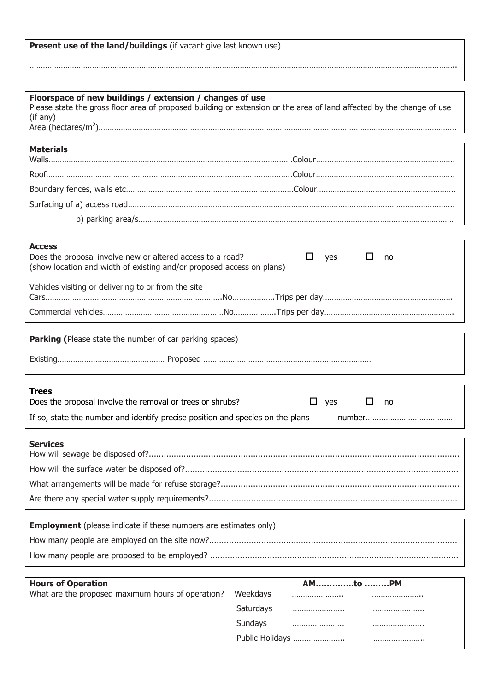| Present use of the land/buildings (if vacant give last known use) |  |  |
|-------------------------------------------------------------------|--|--|
|-------------------------------------------------------------------|--|--|

| Floorspace of new buildings / extension / changes of use<br>Please state the gross floor area of proposed building or extension or the area of land affected by the change of use<br>(if any) |
|-----------------------------------------------------------------------------------------------------------------------------------------------------------------------------------------------|
|                                                                                                                                                                                               |
| <b>Materials</b>                                                                                                                                                                              |
|                                                                                                                                                                                               |
|                                                                                                                                                                                               |
|                                                                                                                                                                                               |
|                                                                                                                                                                                               |
|                                                                                                                                                                                               |
| <b>Access</b><br>Does the proposal involve new or altered access to a road?<br>□<br>ப<br>yes<br>no<br>(show location and width of existing and/or proposed access on plans)                   |
| Vehicles visiting or delivering to or from the site                                                                                                                                           |
|                                                                                                                                                                                               |
|                                                                                                                                                                                               |
| <b>Parking (Please state the number of car parking spaces)</b>                                                                                                                                |
|                                                                                                                                                                                               |
|                                                                                                                                                                                               |
| <b>Trees</b><br>Does the proposal involve the removal or trees or shrubs?<br>$\Box$ yes<br>$\Box$<br>no                                                                                       |
| If so, state the number and identify precise position and species on the plans                                                                                                                |
|                                                                                                                                                                                               |
| <b>Services</b>                                                                                                                                                                               |
|                                                                                                                                                                                               |
|                                                                                                                                                                                               |
|                                                                                                                                                                                               |
|                                                                                                                                                                                               |
| <b>Employment</b> (please indicate if these numbers are estimates only)                                                                                                                       |
|                                                                                                                                                                                               |
|                                                                                                                                                                                               |
|                                                                                                                                                                                               |

………………………………………………………………………………………………………………………………………………………………………..

| <b>Hours of Operation</b>                         |           | AMto PM         |  |
|---------------------------------------------------|-----------|-----------------|--|
| What are the proposed maximum hours of operation? | Weekdays  |                 |  |
|                                                   | Saturdays |                 |  |
|                                                   | Sundays   |                 |  |
|                                                   |           | Public Holidays |  |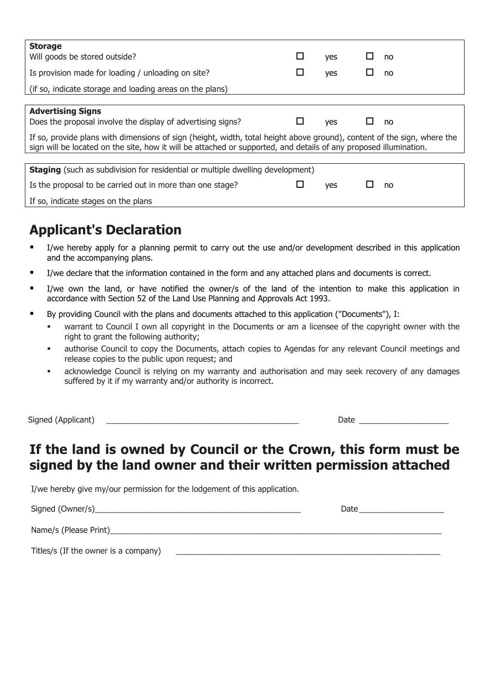| <b>Storage</b><br>Will goods be stored outside?                                                                                                                                                                                              | □      | yes        |   | no |
|----------------------------------------------------------------------------------------------------------------------------------------------------------------------------------------------------------------------------------------------|--------|------------|---|----|
| Is provision made for loading / unloading on site?                                                                                                                                                                                           | $\Box$ | yes        | ப | no |
| (if so, indicate storage and loading areas on the plans)                                                                                                                                                                                     |        |            |   |    |
|                                                                                                                                                                                                                                              |        |            |   |    |
| <b>Advertising Signs</b><br>Does the proposal involve the display of advertising signs?                                                                                                                                                      | ப      | <b>yes</b> | ப | no |
| If so, provide plans with dimensions of sign (height, width, total height above ground), content of the sign, where the<br>sign will be located on the site, how it will be attached or supported, and details of any proposed illumination. |        |            |   |    |
|                                                                                                                                                                                                                                              |        |            |   |    |
| <b>Staging</b> (such as subdivision for residential or multiple dwelling development)                                                                                                                                                        |        |            |   |    |
| Is the proposal to be carried out in more than one stage?                                                                                                                                                                                    | ⊔      | yes        | ப | no |
| If so, indicate stages on the plans                                                                                                                                                                                                          |        |            |   |    |

## **Applicant's Declaration**

- I/we hereby apply for a planning permit to carry out the use and/or development described in this application and the accompanying plans.
- I/we declare that the information contained in the form and any attached plans and documents is correct.
- I/we own the land, or have notified the owner/s of the land of the intention to make this application in accordance with Section 52 of the Land Use Planning and Approvals Act 1993.
- By providing Council with the plans and documents attached to this application ("Documents"), I:
	- warrant to Council I own all copyright in the Documents or am a licensee of the copyright owner with the right to grant the following authority;
	- authorise Council to copy the Documents, attach copies to Agendas for any relevant Council meetings and release copies to the public upon request; and
	- acknowledge Council is relying on my warranty and authorisation and may seek recovery of any damages suffered by it if my warranty and/or authority is incorrect.

Signed (Applicant) and the state of the state of the state of the state of the state of the state  $\Box$ 

## **If the land is owned by Council or the Crown, this form must be signed by the land owner and their written permission attached**

I/we hereby give my/our permission for the lodgement of this application.

Signed (Owner/s)\_\_\_\_\_\_\_\_\_\_\_\_\_\_\_\_\_\_\_\_\_\_\_\_\_\_\_\_\_\_\_\_\_\_\_\_\_\_\_\_\_\_\_\_\_\_ Date \_\_\_\_\_\_\_\_\_\_\_\_\_\_\_\_\_\_\_

Name/s (Please Print)

Titles/s (If the owner is a company)